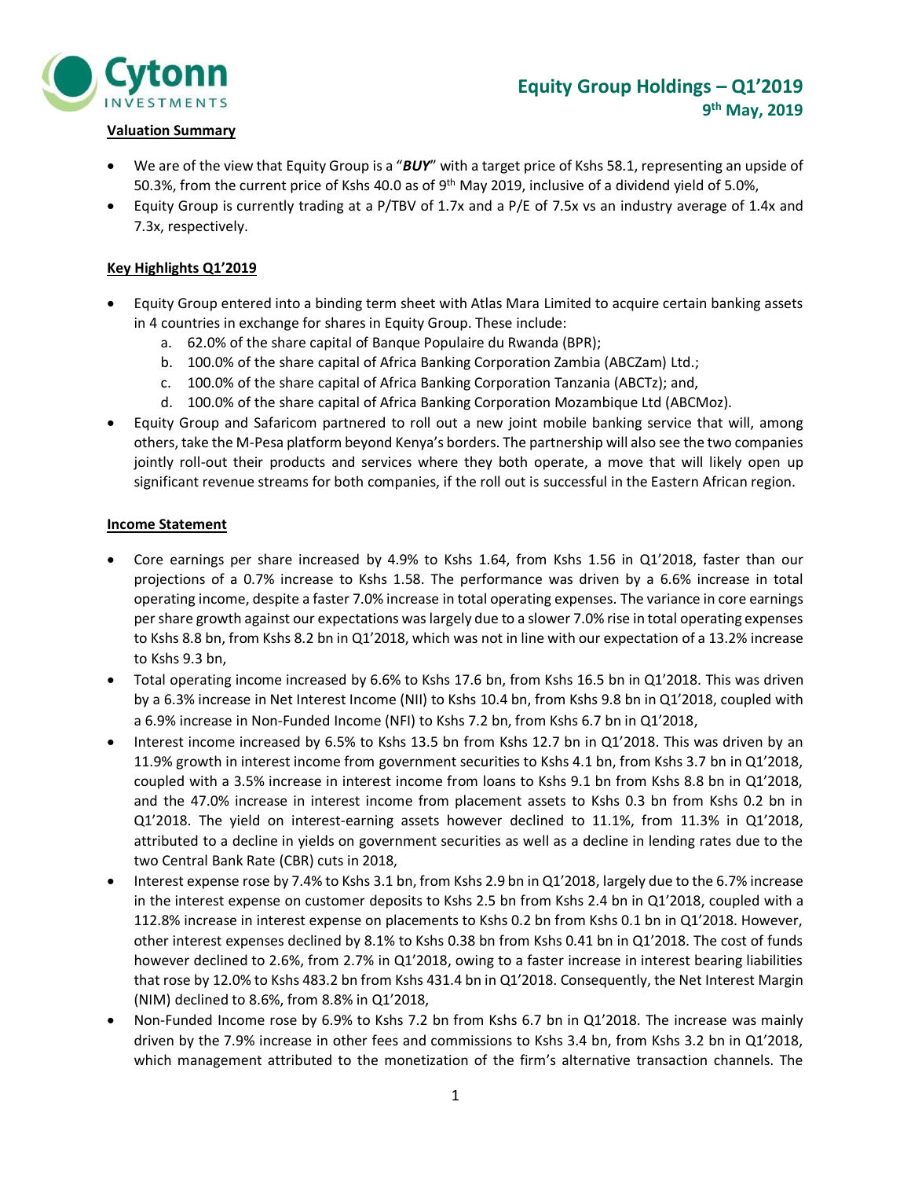

#### **Valuation Summary**

- We are of the view that Equity Group is a "*BUY*" with a target price of Kshs 58.1, representing an upside of 50.3%, from the current price of Kshs 40.0 as of 9<sup>th</sup> May 2019, inclusive of a dividend yield of 5.0%,
- Equity Group is currently trading at a P/TBV of 1.7x and a P/E of 7.5x vs an industry average of 1.4x and 7.3x, respectively.

#### **Key Highlights Q1'2019**

- Equity Group entered into a binding term sheet with Atlas Mara Limited to acquire certain banking assets in 4 countries in exchange for shares in Equity Group. These include:
	- a. 62.0% of the share capital of Banque Populaire du Rwanda (BPR);
	- b. 100.0% of the share capital of Africa Banking Corporation Zambia (ABCZam) Ltd.;
	- c. 100.0% of the share capital of Africa Banking Corporation Tanzania (ABCTz); and,
	- d. 100.0% of the share capital of Africa Banking Corporation Mozambique Ltd (ABCMoz).
- Equity Group and Safaricom partnered to roll out a new joint mobile banking service that will, among others, take the M-Pesa platform beyond Kenya's borders. The partnership will also see the two companies jointly roll-out their products and services where they both operate, a move that will likely open up significant revenue streams for both companies, if the roll out is successful in the Eastern African region.

#### **Income Statement**

- Core earnings per share increased by 4.9% to Kshs 1.64, from Kshs 1.56 in Q1'2018, faster than our projections of a 0.7% increase to Kshs 1.58. The performance was driven by a 6.6% increase in total operating income, despite a faster 7.0% increase in total operating expenses. The variance in core earnings per share growth against our expectations was largely due to a slower 7.0% rise in total operating expenses to Kshs 8.8 bn, from Kshs 8.2 bn in Q1'2018, which was not in line with our expectation of a 13.2% increase to Kshs 9.3 bn,
- Total operating income increased by 6.6% to Kshs 17.6 bn, from Kshs 16.5 bn in Q1'2018. This was driven by a 6.3% increase in Net Interest Income (NII) to Kshs 10.4 bn, from Kshs 9.8 bn in Q1'2018, coupled with a 6.9% increase in Non-Funded Income (NFI) to Kshs 7.2 bn, from Kshs 6.7 bn in Q1'2018,
- Interest income increased by 6.5% to Kshs 13.5 bn from Kshs 12.7 bn in Q1'2018. This was driven by an 11.9% growth in interest income from government securities to Kshs 4.1 bn, from Kshs 3.7 bn in Q1'2018, coupled with a 3.5% increase in interest income from loans to Kshs 9.1 bn from Kshs 8.8 bn in Q1'2018, and the 47.0% increase in interest income from placement assets to Kshs 0.3 bn from Kshs 0.2 bn in Q1'2018. The yield on interest-earning assets however declined to 11.1%, from 11.3% in Q1'2018, attributed to a decline in yields on government securities as well as a decline in lending rates due to the two Central Bank Rate (CBR) cuts in 2018,
- Interest expense rose by 7.4% to Kshs 3.1 bn, from Kshs 2.9 bn in Q1'2018, largely due to the 6.7% increase in the interest expense on customer deposits to Kshs 2.5 bn from Kshs 2.4 bn in Q1'2018, coupled with a 112.8% increase in interest expense on placements to Kshs 0.2 bn from Kshs 0.1 bn in Q1'2018. However, other interest expenses declined by 8.1% to Kshs 0.38 bn from Kshs 0.41 bn in Q1'2018. The cost of funds however declined to 2.6%, from 2.7% in Q1'2018, owing to a faster increase in interest bearing liabilities that rose by 12.0% to Kshs 483.2 bn from Kshs 431.4 bn in Q1'2018. Consequently, the Net Interest Margin (NIM) declined to 8.6%, from 8.8% in Q1'2018,
- Non-Funded Income rose by 6.9% to Kshs 7.2 bn from Kshs 6.7 bn in Q1'2018. The increase was mainly driven by the 7.9% increase in other fees and commissions to Kshs 3.4 bn, from Kshs 3.2 bn in Q1'2018, which management attributed to the monetization of the firm's alternative transaction channels. The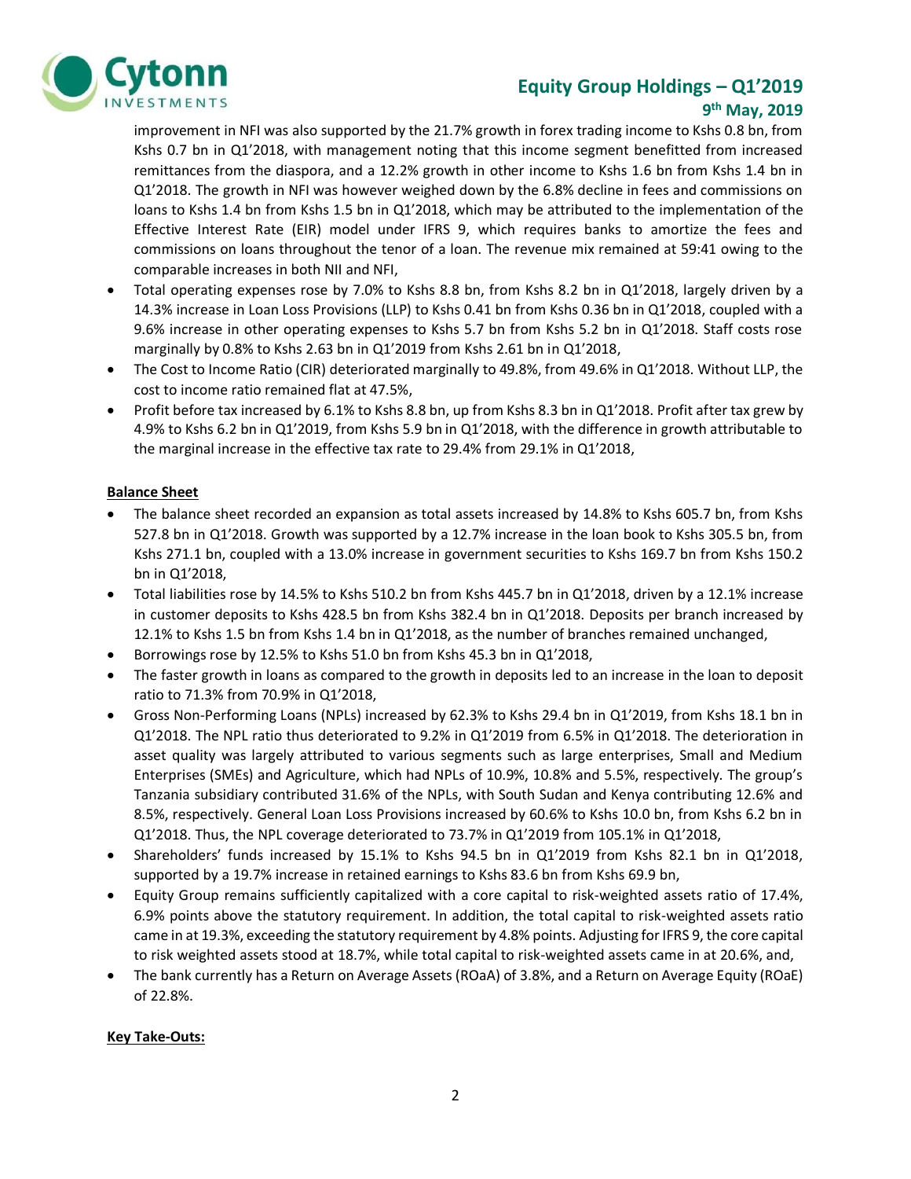

## **Equity Group Holdings – Q1'2019**

#### **9 th May, 2019**

improvement in NFI was also supported by the 21.7% growth in forex trading income to Kshs 0.8 bn, from Kshs 0.7 bn in Q1'2018, with management noting that this income segment benefitted from increased remittances from the diaspora, and a 12.2% growth in other income to Kshs 1.6 bn from Kshs 1.4 bn in Q1'2018. The growth in NFI was however weighed down by the 6.8% decline in fees and commissions on loans to Kshs 1.4 bn from Kshs 1.5 bn in Q1'2018, which may be attributed to the implementation of the Effective Interest Rate (EIR) model under IFRS 9, which requires banks to amortize the fees and commissions on loans throughout the tenor of a loan. The revenue mix remained at 59:41 owing to the comparable increases in both NII and NFI,

- Total operating expenses rose by 7.0% to Kshs 8.8 bn, from Kshs 8.2 bn in Q1'2018, largely driven by a 14.3% increase in Loan Loss Provisions (LLP) to Kshs 0.41 bn from Kshs 0.36 bn in Q1'2018, coupled with a 9.6% increase in other operating expenses to Kshs 5.7 bn from Kshs 5.2 bn in Q1'2018. Staff costs rose marginally by 0.8% to Kshs 2.63 bn in Q1'2019 from Kshs 2.61 bn in Q1'2018,
- The Cost to Income Ratio (CIR) deteriorated marginally to 49.8%, from 49.6% in Q1'2018. Without LLP, the cost to income ratio remained flat at 47.5%,
- Profit before tax increased by 6.1% to Kshs 8.8 bn, up from Kshs 8.3 bn in Q1'2018. Profit after tax grew by 4.9% to Kshs 6.2 bn in Q1'2019, from Kshs 5.9 bn in Q1'2018, with the difference in growth attributable to the marginal increase in the effective tax rate to 29.4% from 29.1% in Q1'2018,

#### **Balance Sheet**

- The balance sheet recorded an expansion as total assets increased by 14.8% to Kshs 605.7 bn, from Kshs 527.8 bn in Q1'2018. Growth was supported by a 12.7% increase in the loan book to Kshs 305.5 bn, from Kshs 271.1 bn, coupled with a 13.0% increase in government securities to Kshs 169.7 bn from Kshs 150.2 bn in Q1'2018,
- Total liabilities rose by 14.5% to Kshs 510.2 bn from Kshs 445.7 bn in Q1'2018, driven by a 12.1% increase in customer deposits to Kshs 428.5 bn from Kshs 382.4 bn in Q1'2018. Deposits per branch increased by 12.1% to Kshs 1.5 bn from Kshs 1.4 bn in Q1'2018, as the number of branches remained unchanged,
- Borrowings rose by 12.5% to Kshs 51.0 bn from Kshs 45.3 bn in Q1'2018,
- The faster growth in loans as compared to the growth in deposits led to an increase in the loan to deposit ratio to 71.3% from 70.9% in Q1'2018,
- Gross Non-Performing Loans (NPLs) increased by 62.3% to Kshs 29.4 bn in Q1'2019, from Kshs 18.1 bn in Q1'2018. The NPL ratio thus deteriorated to 9.2% in Q1'2019 from 6.5% in Q1'2018. The deterioration in asset quality was largely attributed to various segments such as large enterprises, Small and Medium Enterprises (SMEs) and Agriculture, which had NPLs of 10.9%, 10.8% and 5.5%, respectively. The group's Tanzania subsidiary contributed 31.6% of the NPLs, with South Sudan and Kenya contributing 12.6% and 8.5%, respectively. General Loan Loss Provisions increased by 60.6% to Kshs 10.0 bn, from Kshs 6.2 bn in Q1'2018. Thus, the NPL coverage deteriorated to 73.7% in Q1'2019 from 105.1% in Q1'2018,
- Shareholders' funds increased by 15.1% to Kshs 94.5 bn in Q1'2019 from Kshs 82.1 bn in Q1'2018, supported by a 19.7% increase in retained earnings to Kshs 83.6 bn from Kshs 69.9 bn,
- Equity Group remains sufficiently capitalized with a core capital to risk-weighted assets ratio of 17.4%, 6.9% points above the statutory requirement. In addition, the total capital to risk-weighted assets ratio came in at 19.3%, exceeding the statutory requirement by 4.8% points. Adjusting for IFRS 9, the core capital to risk weighted assets stood at 18.7%, while total capital to risk-weighted assets came in at 20.6%, and,
- The bank currently has a Return on Average Assets (ROaA) of 3.8%, and a Return on Average Equity (ROaE) of 22.8%.

#### **Key Take-Outs:**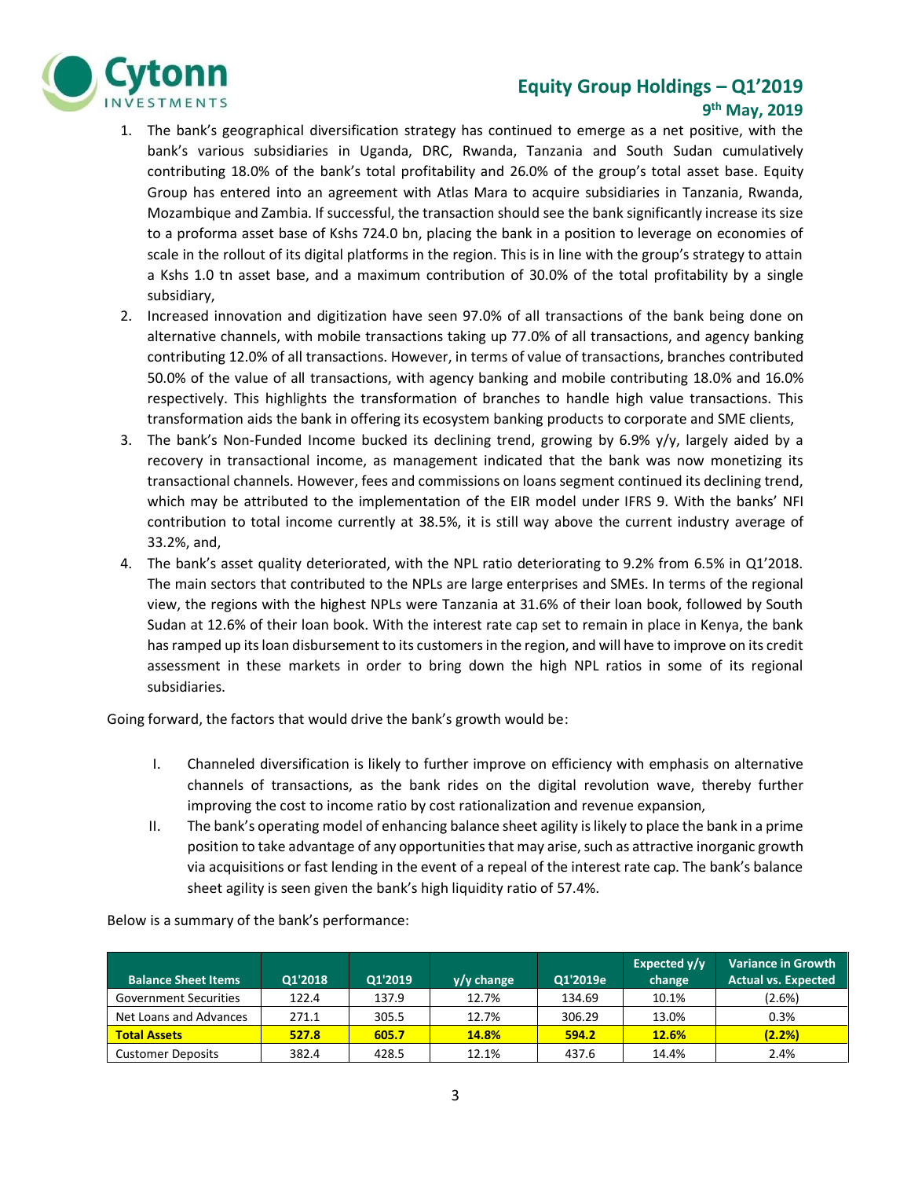## Cytonn **NVESTMENTS**

#### **Equity Group Holdings – Q1'2019 9 th May, 2019**

- 1. The bank's geographical diversification strategy has continued to emerge as a net positive, with the bank's various subsidiaries in Uganda, DRC, Rwanda, Tanzania and South Sudan cumulatively contributing 18.0% of the bank's total profitability and 26.0% of the group's total asset base. Equity Group has entered into an agreement with Atlas Mara to acquire subsidiaries in Tanzania, Rwanda, Mozambique and Zambia. If successful, the transaction should see the bank significantly increase its size to a proforma asset base of Kshs 724.0 bn, placing the bank in a position to leverage on economies of scale in the rollout of its digital platforms in the region. This is in line with the group's strategy to attain a Kshs 1.0 tn asset base, and a maximum contribution of 30.0% of the total profitability by a single subsidiary,
- 2. Increased innovation and digitization have seen 97.0% of all transactions of the bank being done on alternative channels, with mobile transactions taking up 77.0% of all transactions, and agency banking contributing 12.0% of all transactions. However, in terms of value of transactions, branches contributed 50.0% of the value of all transactions, with agency banking and mobile contributing 18.0% and 16.0% respectively. This highlights the transformation of branches to handle high value transactions. This transformation aids the bank in offering its ecosystem banking products to corporate and SME clients,
- 3. The bank's Non-Funded Income bucked its declining trend, growing by 6.9%  $y/y$ , largely aided by a recovery in transactional income, as management indicated that the bank was now monetizing its transactional channels. However, fees and commissions on loans segment continued its declining trend, which may be attributed to the implementation of the EIR model under IFRS 9. With the banks' NFI contribution to total income currently at 38.5%, it is still way above the current industry average of 33.2%, and,
- 4. The bank's asset quality deteriorated, with the NPL ratio deteriorating to 9.2% from 6.5% in Q1'2018. The main sectors that contributed to the NPLs are large enterprises and SMEs. In terms of the regional view, the regions with the highest NPLs were Tanzania at 31.6% of their loan book, followed by South Sudan at 12.6% of their loan book. With the interest rate cap set to remain in place in Kenya, the bank has ramped up its loan disbursement to its customers in the region, and will have to improve on its credit assessment in these markets in order to bring down the high NPL ratios in some of its regional subsidiaries.

Going forward, the factors that would drive the bank's growth would be:

- I. Channeled diversification is likely to further improve on efficiency with emphasis on alternative channels of transactions, as the bank rides on the digital revolution wave, thereby further improving the cost to income ratio by cost rationalization and revenue expansion,
- II. The bank's operating model of enhancing balance sheet agility is likely to place the bank in a prime position to take advantage of any opportunities that may arise, such as attractive inorganic growth via acquisitions or fast lending in the event of a repeal of the interest rate cap. The bank's balance sheet agility is seen given the bank's high liquidity ratio of 57.4%.

| <b>Balance Sheet Items</b>   | Q1'2018 | Q1'2019 | $y/y$ change | Q1'2019e | Expected y/y<br>change | <b>Variance in Growth</b><br><b>Actual vs. Expected</b> |
|------------------------------|---------|---------|--------------|----------|------------------------|---------------------------------------------------------|
| <b>Government Securities</b> | 122.4   | 137.9   | 12.7%        | 134.69   | 10.1%                  | (2.6%)                                                  |
| Net Loans and Advances       | 271.1   | 305.5   | 12.7%        | 306.29   | 13.0%                  | 0.3%                                                    |
| <b>Total Assets</b>          | 527.8   | 605.7   | <b>14.8%</b> | 594.2    | 12.6%                  | (2.2%)                                                  |
| <b>Customer Deposits</b>     | 382.4   | 428.5   | 12.1%        | 437.6    | 14.4%                  | 2.4%                                                    |

Below is a summary of the bank's performance: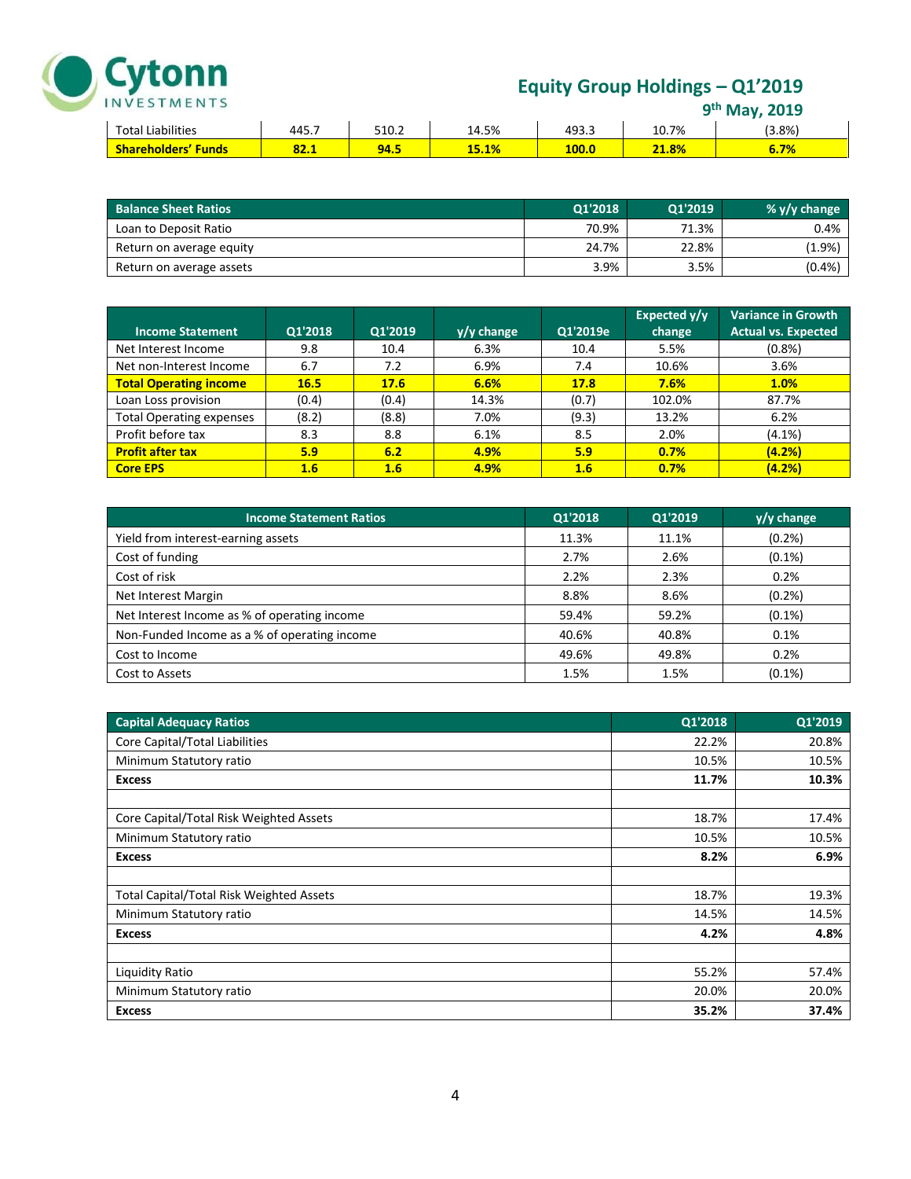

### **Equity Group Holdings – Q1'2019**

| 9 <sup>th</sup> May, 2019 |  |
|---------------------------|--|
|---------------------------|--|

|                            |       |       |       |       |       | <b>IVIAV, ZUIJ</b> |
|----------------------------|-------|-------|-------|-------|-------|--------------------|
| <b>Total Liabilities</b>   | 445.7 | 510.2 | 14.5% | 493.3 | 10.7% | $(3.8\%)$          |
| <b>Shareholders' Funds</b> | 84.I  | 94.5  | 15.1% | 100.0 | 21.8% | 6.7%               |

| <b>Balance Sheet Ratios</b> | Q1'2018 | Q1'2019 | % $v/v$ change |
|-----------------------------|---------|---------|----------------|
| Loan to Deposit Ratio       | 70.9%   | 71.3%   | 0.4%           |
| Return on average equity    | 24.7%   | 22.8%   | (1.9%)         |
| Return on average assets    | 3.9%    | 3.5%    | (0.4% )        |

| <b>Income Statement</b>         | Q1'2018     | Q1'2019 | $y/y$ change | Q1'2019e | Expected y/y<br>change | <b>Variance in Growth</b><br><b>Actual vs. Expected</b> |
|---------------------------------|-------------|---------|--------------|----------|------------------------|---------------------------------------------------------|
| Net Interest Income             | 9.8         | 10.4    | 6.3%         | 10.4     | 5.5%                   | (0.8%                                                   |
| Net non-Interest Income         | 6.7         | 7.2     | 6.9%         | 7.4      | 10.6%                  | 3.6%                                                    |
| <b>Total Operating income</b>   | <b>16.5</b> | 17.6    | 6.6%         | 17.8     | 7.6%                   | 1.0%                                                    |
| Loan Loss provision             | (0.4)       | (0.4)   | 14.3%        | (0.7)    | 102.0%                 | 87.7%                                                   |
| <b>Total Operating expenses</b> | (8.2)       | (8.8)   | 7.0%         | (9.3)    | 13.2%                  | 6.2%                                                    |
| Profit before tax               | 8.3         | 8.8     | 6.1%         | 8.5      | 2.0%                   | $(4.1\%)$                                               |
| <b>Profit after tax</b>         | 5.9         | 6.2     | 4.9%         | 5.9      | 0.7%                   | (4.2%)                                                  |
| <b>Core EPS</b>                 | 1.6         | 1.6     | 4.9%         | 1.6      | 0.7%                   | (4.2%)                                                  |

| <b>Income Statement Ratios</b>               | Q1'2018 | Q1'2019 | $y/y$ change |
|----------------------------------------------|---------|---------|--------------|
| Yield from interest-earning assets           | 11.3%   | 11.1%   | (0.2% )      |
| Cost of funding                              | 2.7%    | 2.6%    | $(0.1\%)$    |
| Cost of risk                                 | 2.2%    | 2.3%    | 0.2%         |
| Net Interest Margin                          | 8.8%    | 8.6%    | (0.2% )      |
| Net Interest Income as % of operating income | 59.4%   | 59.2%   | $(0.1\%)$    |
| Non-Funded Income as a % of operating income | 40.6%   | 40.8%   | 0.1%         |
| Cost to Income                               | 49.6%   | 49.8%   | 0.2%         |
| Cost to Assets                               | 1.5%    | 1.5%    | $(0.1\%)$    |

| <b>Capital Adequacy Ratios</b>                  | Q1'2018 | Q1'2019 |
|-------------------------------------------------|---------|---------|
| Core Capital/Total Liabilities                  | 22.2%   | 20.8%   |
| Minimum Statutory ratio                         | 10.5%   | 10.5%   |
| <b>Excess</b>                                   | 11.7%   | 10.3%   |
|                                                 |         |         |
| Core Capital/Total Risk Weighted Assets         | 18.7%   | 17.4%   |
| Minimum Statutory ratio                         | 10.5%   | 10.5%   |
| <b>Excess</b>                                   | 8.2%    | 6.9%    |
|                                                 |         |         |
| <b>Total Capital/Total Risk Weighted Assets</b> | 18.7%   | 19.3%   |
| Minimum Statutory ratio                         | 14.5%   | 14.5%   |
| <b>Excess</b>                                   | 4.2%    | 4.8%    |
|                                                 |         |         |
| Liquidity Ratio                                 | 55.2%   | 57.4%   |
| Minimum Statutory ratio                         | 20.0%   | 20.0%   |
| <b>Excess</b>                                   | 35.2%   | 37.4%   |